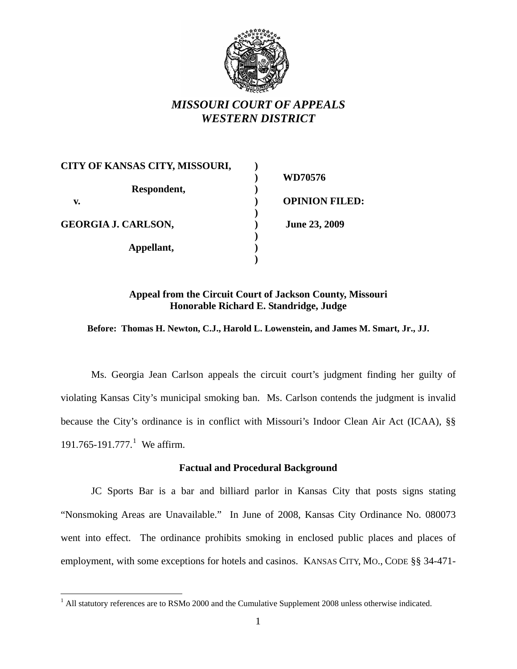

# *MISSOURI COURT OF APPEALS WESTERN DISTRICT*

| CITY OF KANSAS CITY, MISSOURI, |                       |  |
|--------------------------------|-----------------------|--|
|                                | WD70576               |  |
| Respondent,                    |                       |  |
| v.                             | <b>OPINION FILED:</b> |  |
|                                |                       |  |
| <b>GEORGIA J. CARLSON,</b>     | <b>June 23, 2009</b>  |  |
|                                |                       |  |
| Appellant,                     |                       |  |
|                                |                       |  |

# **Appeal from the Circuit Court of Jackson County, Missouri Honorable Richard E. Standridge, Judge**

**Before: Thomas H. Newton, C.J., Harold L. Lowenstein, and James M. Smart, Jr., JJ.**

Ms. Georgia Jean Carlson appeals the circuit court's judgment finding her guilty of violating Kansas City's municipal smoking ban. Ms. Carlson contends the judgment is invalid because the City's ordinance is in conflict with Missouri's Indoor Clean Air Act (ICAA), §§ [1](#page-0-0)91.765-191.777.<sup>1</sup> We affirm.

## **Factual and Procedural Background**

JC Sports Bar is a bar and billiard parlor in Kansas City that posts signs stating "Nonsmoking Areas are Unavailable." In June of 2008, Kansas City Ordinance No. 080073 went into effect. The ordinance prohibits smoking in enclosed public places and places of employment, with some exceptions for hotels and casinos. KANSAS CITY, MO., CODE §§ 34-471-

<span id="page-0-0"></span><sup>&</sup>lt;sup>1</sup> All statutory references are to RSMo 2000 and the Cumulative Supplement 2008 unless otherwise indicated.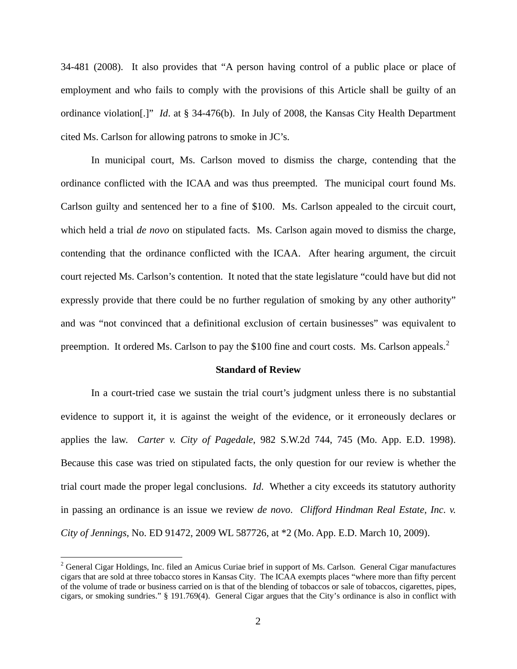34-481 (2008). It also provides that "A person having control of a public place or place of employment and who fails to comply with the provisions of this Article shall be guilty of an ordinance violation[.]" *Id*. at § 34-476(b). In July of 2008, the Kansas City Health Department cited Ms. Carlson for allowing patrons to smoke in JC's.

 In municipal court, Ms. Carlson moved to dismiss the charge, contending that the ordinance conflicted with the ICAA and was thus preempted. The municipal court found Ms. Carlson guilty and sentenced her to a fine of \$100. Ms. Carlson appealed to the circuit court, which held a trial *de novo* on stipulated facts. Ms. Carlson again moved to dismiss the charge, contending that the ordinance conflicted with the ICAA. After hearing argument, the circuit court rejected Ms. Carlson's contention. It noted that the state legislature "could have but did not expressly provide that there could be no further regulation of smoking by any other authority" and was "not convinced that a definitional exclusion of certain businesses" was equivalent to preemption. It ordered Ms. Carlson to pay the \$100 fine and court costs. Ms. Carlson appeals.<sup>[2](#page-1-0)</sup>

#### **Standard of Review**

 In a court-tried case we sustain the trial court's judgment unless there is no substantial evidence to support it, it is against the weight of the evidence, or it erroneously declares or applies the law. *Carter v. City of Pagedale*, 982 S.W.2d 744, 745 (Mo. App. E.D. 1998). Because this case was tried on stipulated facts, the only question for our review is whether the trial court made the proper legal conclusions. *Id*. Whether a city exceeds its statutory authority in passing an ordinance is an issue we review *de novo*. *Clifford Hindman Real Estate, Inc. v. City of Jennings*, No. ED 91472, 2009 WL 587726, at \*2 (Mo. App. E.D. March 10, 2009).

 $\overline{a}$ 

<span id="page-1-0"></span> $2^2$  General Cigar Holdings, Inc. filed an Amicus Curiae brief in support of Ms. Carlson. General Cigar manufactures cigars that are sold at three tobacco stores in Kansas City. The ICAA exempts places "where more than fifty percent of the volume of trade or business carried on is that of the blending of tobaccos or sale of tobaccos, cigarettes, pipes, cigars, or smoking sundries." § 191.769(4). General Cigar argues that the City's ordinance is also in conflict with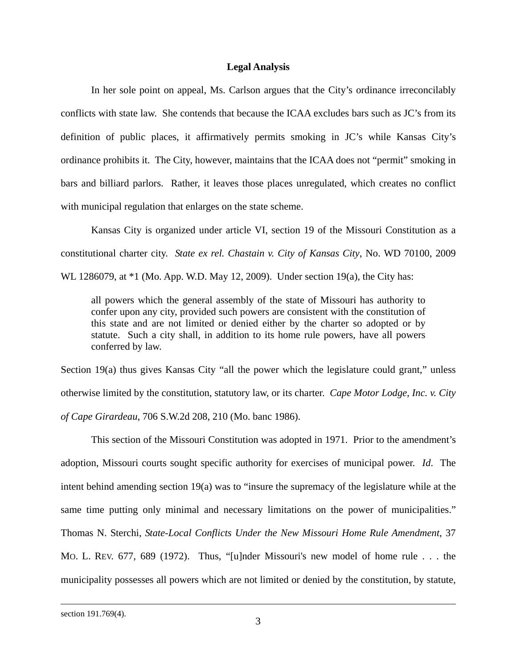### **Legal Analysis**

 In her sole point on appeal, Ms. Carlson argues that the City's ordinance irreconcilably conflicts with state law. She contends that because the ICAA excludes bars such as JC's from its definition of public places, it affirmatively permits smoking in JC's while Kansas City's ordinance prohibits it. The City, however, maintains that the ICAA does not "permit" smoking in bars and billiard parlors. Rather, it leaves those places unregulated, which creates no conflict with municipal regulation that enlarges on the state scheme.

 Kansas City is organized under article VI, section 19 of the Missouri Constitution as a constitutional charter city. *State ex rel. Chastain v. City of Kansas City*, No. WD 70100, 2009

WL 1286079, at \*1 (Mo. App. W.D. May 12, 2009). Under section 19(a), the City has:

all powers which the general assembly of the state of Missouri has authority to confer upon any city, provided such powers are consistent with the constitution of this state and are not limited or denied either by the charter so adopted or by statute. Such a city shall, in addition to its home rule powers, have all powers conferred by law.

Section 19(a) thus gives Kansas City "all the power which the legislature could grant," unless otherwise limited by the constitution, statutory law, or its charter. *Cape Motor Lodge, Inc. v. City of Cape Girardeau*, 706 S.W.2d 208, 210 (Mo. banc 1986).

 This section of the Missouri Constitution was adopted in 1971. Prior to the amendment's adoption, Missouri courts sought specific authority for exercises of municipal power. *Id*. The intent behind amending section 19(a) was to "insure the supremacy of the legislature while at the same time putting only minimal and necessary limitations on the power of municipalities." Thomas N. Sterchi, *State-Local Conflicts Under the New Missouri Home Rule Amendment*, 37 MO. L. REV. 677, 689 (1972). Thus, "[u]nder Missouri's new model of home rule . . . the municipality possesses all powers which are not limited or denied by the constitution, by statute,

section 191.769(4).

l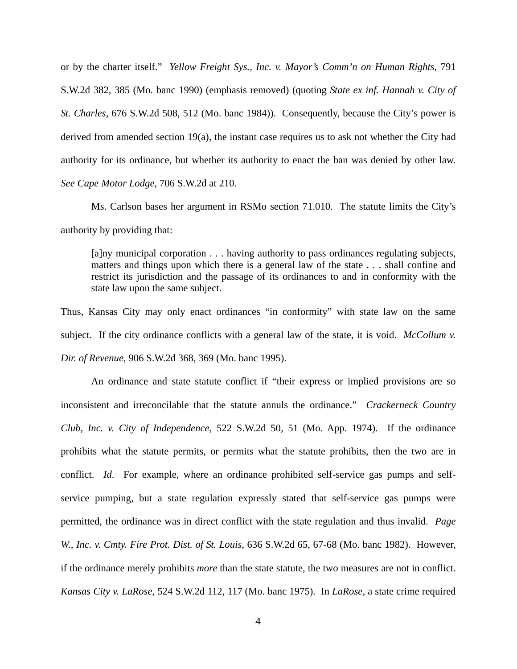or by the charter itself." *Yellow Freight Sys., Inc. v. Mayor's Comm'n on Human Rights*, 791 S.W.2d 382, 385 (Mo. banc 1990) (emphasis removed) (quoting *State ex inf. Hannah v. City of St. Charles*, 676 S.W.2d 508, 512 (Mo. banc 1984)). Consequently, because the City's power is derived from amended section 19(a), the instant case requires us to ask not whether the City had authority for its ordinance, but whether its authority to enact the ban was denied by other law. *See Cape Motor Lodge*, 706 S.W.2d at 210.

 Ms. Carlson bases her argument in RSMo section 71.010. The statute limits the City's authority by providing that:

[a]ny municipal corporation . . . having authority to pass ordinances regulating subjects, matters and things upon which there is a general law of the state . . . shall confine and restrict its jurisdiction and the passage of its ordinances to and in conformity with the state law upon the same subject.

Thus, Kansas City may only enact ordinances "in conformity" with state law on the same subject. If the city ordinance conflicts with a general law of the state, it is void. *McCollum v. Dir. of Revenue*, 906 S.W.2d 368, 369 (Mo. banc 1995).

 An ordinance and state statute conflict if "their express or implied provisions are so inconsistent and irreconcilable that the statute annuls the ordinance." *Crackerneck Country Club, Inc. v. City of Independence*, 522 S.W.2d 50, 51 (Mo. App. 1974). If the ordinance prohibits what the statute permits, or permits what the statute prohibits, then the two are in conflict. *Id*. For example, where an ordinance prohibited self-service gas pumps and selfservice pumping, but a state regulation expressly stated that self-service gas pumps were permitted, the ordinance was in direct conflict with the state regulation and thus invalid. *Page W., Inc. v. Cmty. Fire Prot. Dist. of St. Louis*, 636 S.W.2d 65, 67-68 (Mo. banc 1982). However, if the ordinance merely prohibits *more* than the state statute, the two measures are not in conflict. *Kansas City v. LaRose*, 524 S.W.2d 112, 117 (Mo. banc 1975). In *LaRose*, a state crime required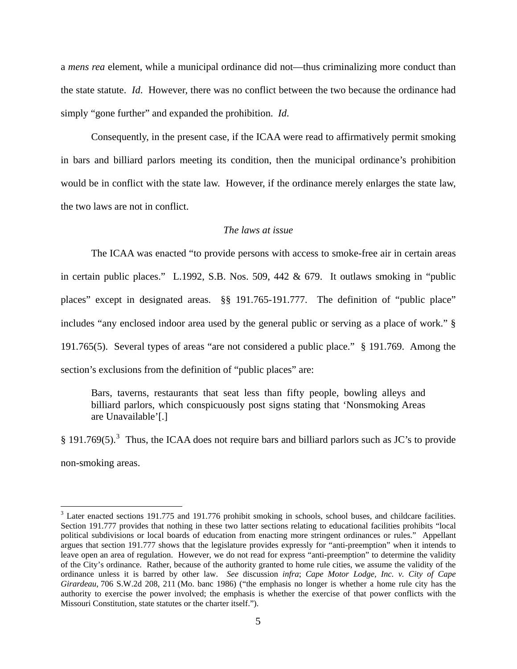a *mens rea* element, while a municipal ordinance did not—thus criminalizing more conduct than the state statute. *Id*. However, there was no conflict between the two because the ordinance had simply "gone further" and expanded the prohibition. *Id*.

 Consequently, in the present case, if the ICAA were read to affirmatively permit smoking in bars and billiard parlors meeting its condition, then the municipal ordinance's prohibition would be in conflict with the state law. However, if the ordinance merely enlarges the state law, the two laws are not in conflict.

### *The laws at issue*

 The ICAA was enacted "to provide persons with access to smoke-free air in certain areas in certain public places." L.1992, S.B. Nos. 509, 442 & 679. It outlaws smoking in "public places" except in designated areas. §§ 191.765-191.777. The definition of "public place" includes "any enclosed indoor area used by the general public or serving as a place of work." § 191.765(5). Several types of areas "are not considered a public place." § 191.769. Among the section's exclusions from the definition of "public places" are:

Bars, taverns, restaurants that seat less than fifty people, bowling alleys and billiard parlors, which conspicuously post signs stating that 'Nonsmoking Areas are Unavailable'[.]

§ 191.769(5).<sup>[3](#page-4-0)</sup> Thus, the ICAA does not require bars and billiard parlors such as JC's to provide non-smoking areas.

l

<span id="page-4-0"></span> $3$  Later enacted sections 191.775 and 191.776 prohibit smoking in schools, school buses, and childcare facilities. Section 191.777 provides that nothing in these two latter sections relating to educational facilities prohibits "local political subdivisions or local boards of education from enacting more stringent ordinances or rules." Appellant argues that section 191.777 shows that the legislature provides expressly for "anti-preemption" when it intends to leave open an area of regulation. However, we do not read for express "anti-preemption" to determine the validity of the City's ordinance. Rather, because of the authority granted to home rule cities, we assume the validity of the ordinance unless it is barred by other law. *See* discussion *infra*; *Cape Motor Lodge, Inc. v. City of Cape Girardeau*, 706 S.W.2d 208, 211 (Mo. banc 1986) ("the emphasis no longer is whether a home rule city has the authority to exercise the power involved; the emphasis is whether the exercise of that power conflicts with the Missouri Constitution, state statutes or the charter itself.").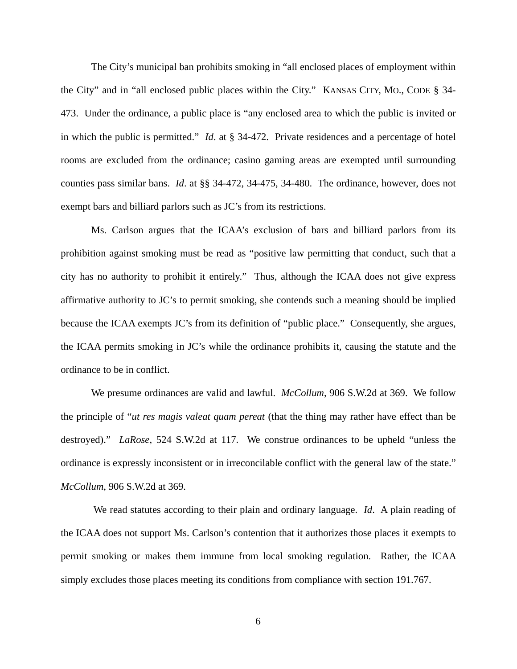The City's municipal ban prohibits smoking in "all enclosed places of employment within the City" and in "all enclosed public places within the City." KANSAS CITY, MO., CODE § 34- 473. Under the ordinance, a public place is "any enclosed area to which the public is invited or in which the public is permitted." *Id*. at § 34-472. Private residences and a percentage of hotel rooms are excluded from the ordinance; casino gaming areas are exempted until surrounding counties pass similar bans. *Id*. at §§ 34-472, 34-475, 34-480. The ordinance, however, does not exempt bars and billiard parlors such as JC's from its restrictions.

 Ms. Carlson argues that the ICAA's exclusion of bars and billiard parlors from its prohibition against smoking must be read as "positive law permitting that conduct, such that a city has no authority to prohibit it entirely." Thus, although the ICAA does not give express affirmative authority to JC's to permit smoking, she contends such a meaning should be implied because the ICAA exempts JC's from its definition of "public place." Consequently, she argues, the ICAA permits smoking in JC's while the ordinance prohibits it, causing the statute and the ordinance to be in conflict.

 We presume ordinances are valid and lawful. *McCollum*, 906 S.W.2d at 369. We follow the principle of "*ut res magis valeat quam pereat* (that the thing may rather have effect than be destroyed)." *LaRose*, 524 S.W.2d at 117. We construe ordinances to be upheld "unless the ordinance is expressly inconsistent or in irreconcilable conflict with the general law of the state." *McCollum*, 906 S.W.2d at 369.

 We read statutes according to their plain and ordinary language. *Id*. A plain reading of the ICAA does not support Ms. Carlson's contention that it authorizes those places it exempts to permit smoking or makes them immune from local smoking regulation. Rather, the ICAA simply excludes those places meeting its conditions from compliance with section 191.767.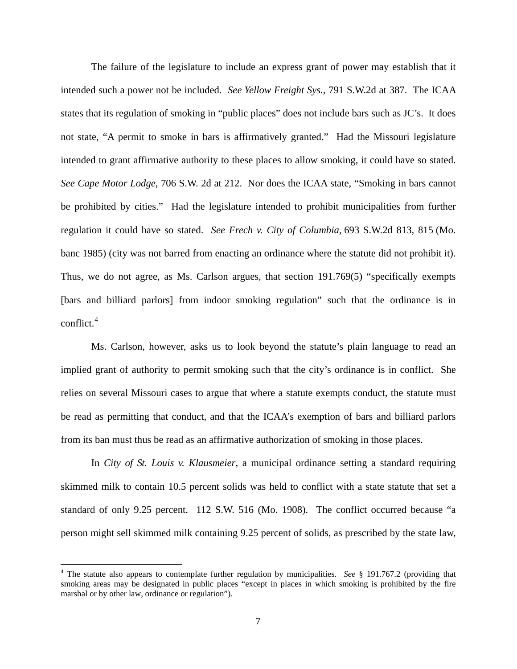The failure of the legislature to include an express grant of power may establish that it intended such a power not be included. *See Yellow Freight Sys.*, 791 S.W.2d at 387. The ICAA states that its regulation of smoking in "public places" does not include bars such as JC's. It does not state, "A permit to smoke in bars is affirmatively granted." Had the Missouri legislature intended to grant affirmative authority to these places to allow smoking, it could have so stated. *See Cape Motor Lodge*, 706 S.W. 2d at 212. Nor does the ICAA state, "Smoking in bars cannot be prohibited by cities." Had the legislature intended to prohibit municipalities from further regulation it could have so stated. *See Frech v. City of Columbia*, 693 S.W.2d 813, 815 (Mo. banc 1985) (city was not barred from enacting an ordinance where the statute did not prohibit it). Thus, we do not agree, as Ms. Carlson argues, that section 191.769(5) "specifically exempts [bars and billiard parlors] from indoor smoking regulation" such that the ordinance is in conflict. $4$ 

 Ms. Carlson, however, asks us to look beyond the statute's plain language to read an implied grant of authority to permit smoking such that the city's ordinance is in conflict. She relies on several Missouri cases to argue that where a statute exempts conduct, the statute must be read as permitting that conduct, and that the ICAA's exemption of bars and billiard parlors from its ban must thus be read as an affirmative authorization of smoking in those places.

 In *City of St. Louis v. Klausmeier*, a municipal ordinance setting a standard requiring skimmed milk to contain 10.5 percent solids was held to conflict with a state statute that set a standard of only 9.25 percent. 112 S.W. 516 (Mo. 1908). The conflict occurred because "a person might sell skimmed milk containing 9.25 percent of solids, as prescribed by the state law,

 $\overline{a}$ 

<span id="page-6-0"></span><sup>&</sup>lt;sup>4</sup> The statute also appears to contemplate further regulation by municipalities. *See* § 191.767.2 (providing that smoking areas may be designated in public places "except in places in which smoking is prohibited by the fire marshal or by other law, ordinance or regulation").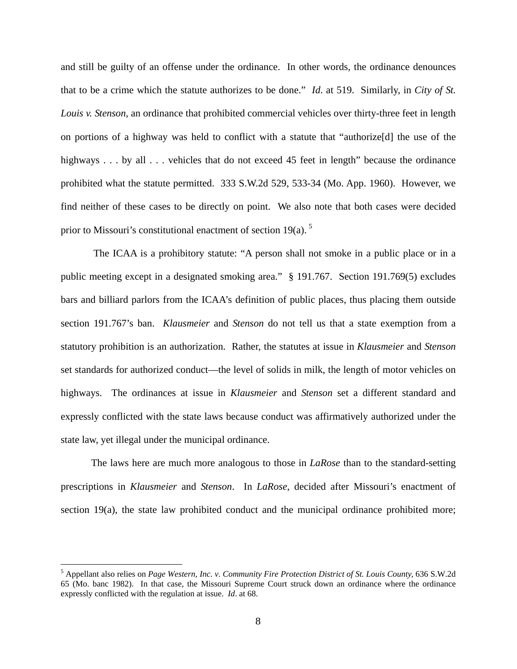and still be guilty of an offense under the ordinance. In other words, the ordinance denounces that to be a crime which the statute authorizes to be done." *Id*. at 519. Similarly, in *City of St. Louis v. Stenson*, an ordinance that prohibited commercial vehicles over thirty-three feet in length on portions of a highway was held to conflict with a statute that "authorize[d] the use of the highways . . . by all . . . vehicles that do not exceed 45 feet in length" because the ordinance prohibited what the statute permitted. 333 S.W.2d 529, 533-34 (Mo. App. 1960). However, we find neither of these cases to be directly on point. We also note that both cases were decided prior to Missouri's constitutional enactment of section 19 $(a)$ .<sup>[5](#page-7-0)</sup>

 The ICAA is a prohibitory statute: "A person shall not smoke in a public place or in a public meeting except in a designated smoking area." § 191.767. Section 191.769(5) excludes bars and billiard parlors from the ICAA's definition of public places, thus placing them outside section 191.767's ban. *Klausmeier* and *Stenson* do not tell us that a state exemption from a statutory prohibition is an authorization. Rather, the statutes at issue in *Klausmeier* and *Stenson* set standards for authorized conduct—the level of solids in milk, the length of motor vehicles on highways. The ordinances at issue in *Klausmeier* and *Stenson* set a different standard and expressly conflicted with the state laws because conduct was affirmatively authorized under the state law, yet illegal under the municipal ordinance.

 The laws here are much more analogous to those in *LaRose* than to the standard-setting prescriptions in *Klausmeier* and *Stenson*. In *LaRose*, decided after Missouri's enactment of section 19(a), the state law prohibited conduct and the municipal ordinance prohibited more;

 $\overline{a}$ 

<span id="page-7-0"></span><sup>5</sup> Appellant also relies on *Page Western, Inc. v. Community Fire Protection District of St. Louis County*, 636 S.W.2d 65 (Mo. banc 1982). In that case, the Missouri Supreme Court struck down an ordinance where the ordinance expressly conflicted with the regulation at issue. *Id*. at 68.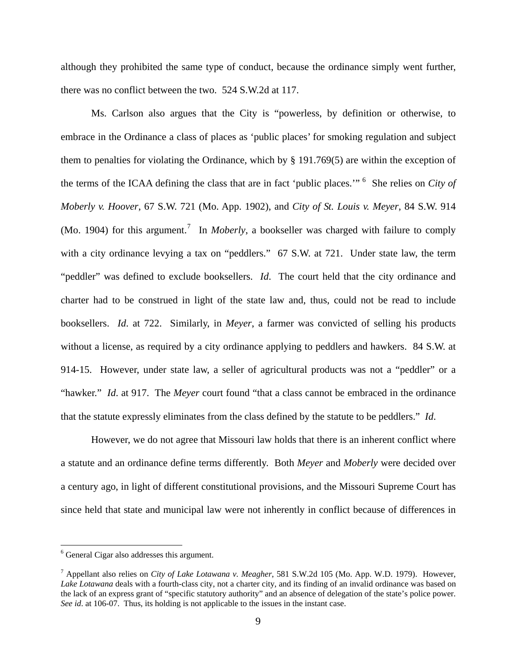although they prohibited the same type of conduct, because the ordinance simply went further, there was no conflict between the two. 524 S.W.2d at 117.

 Ms. Carlson also argues that the City is "powerless, by definition or otherwise, to embrace in the Ordinance a class of places as 'public places' for smoking regulation and subject them to penalties for violating the Ordinance, which by § 191.769(5) are within the exception of the terms of the ICAA defining the class that are in fact 'public places.'" [6](#page-8-0) She relies on *City of Moberly v. Hoover*, 67 S.W. 721 (Mo. App. 1902), and *City of St. Louis v. Meyer*, 84 S.W. 914 (Mo. 1904) for this argument.<sup>[7](#page-8-1)</sup> In *Moberly*, a bookseller was charged with failure to comply with a city ordinance levying a tax on "peddlers." 67 S.W. at 721. Under state law, the term "peddler" was defined to exclude booksellers. *Id*. The court held that the city ordinance and charter had to be construed in light of the state law and, thus, could not be read to include booksellers. *Id*. at 722. Similarly, in *Meyer*, a farmer was convicted of selling his products without a license, as required by a city ordinance applying to peddlers and hawkers. 84 S.W. at 914-15. However, under state law, a seller of agricultural products was not a "peddler" or a "hawker." *Id*. at 917. The *Meyer* court found "that a class cannot be embraced in the ordinance that the statute expressly eliminates from the class defined by the statute to be peddlers." *Id*.

However, we do not agree that Missouri law holds that there is an inherent conflict where a statute and an ordinance define terms differently. Both *Meyer* and *Moberly* were decided over a century ago, in light of different constitutional provisions, and the Missouri Supreme Court has since held that state and municipal law were not inherently in conflict because of differences in

<span id="page-8-0"></span> 6 General Cigar also addresses this argument.

<span id="page-8-1"></span><sup>7</sup> Appellant also relies on *City of Lake Lotawana v. Meagher*, 581 S.W.2d 105 (Mo. App. W.D. 1979). However, *Lake Lotawana* deals with a fourth-class city, not a charter city, and its finding of an invalid ordinance was based on the lack of an express grant of "specific statutory authority" and an absence of delegation of the state's police power. *See id*. at 106-07. Thus, its holding is not applicable to the issues in the instant case.